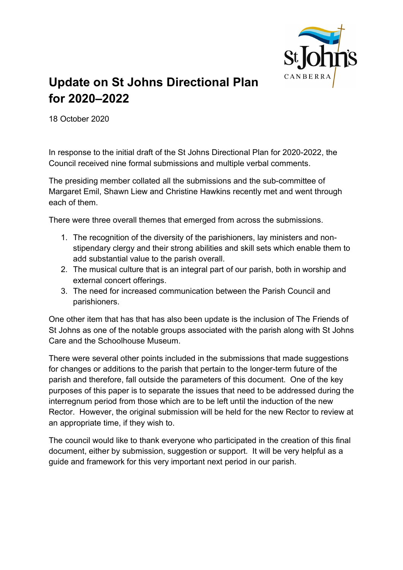

# Update on St Johns Directional Plan for 2020–2022

18 October 2020

In response to the initial draft of the St Johns Directional Plan for 2020-2022, the Council received nine formal submissions and multiple verbal comments.

The presiding member collated all the submissions and the sub-committee of Margaret Emil, Shawn Liew and Christine Hawkins recently met and went through each of them.

There were three overall themes that emerged from across the submissions.

- 1. The recognition of the diversity of the parishioners, lay ministers and nonstipendary clergy and their strong abilities and skill sets which enable them to add substantial value to the parish overall.
- 2. The musical culture that is an integral part of our parish, both in worship and external concert offerings.
- 3. The need for increased communication between the Parish Council and parishioners.

One other item that has that has also been update is the inclusion of The Friends of St Johns as one of the notable groups associated with the parish along with St Johns Care and the Schoolhouse Museum.

There were several other points included in the submissions that made suggestions for changes or additions to the parish that pertain to the longer-term future of the parish and therefore, fall outside the parameters of this document. One of the key purposes of this paper is to separate the issues that need to be addressed during the interregnum period from those which are to be left until the induction of the new Rector. However, the original submission will be held for the new Rector to review at an appropriate time, if they wish to.

The council would like to thank everyone who participated in the creation of this final document, either by submission, suggestion or support. It will be very helpful as a guide and framework for this very important next period in our parish.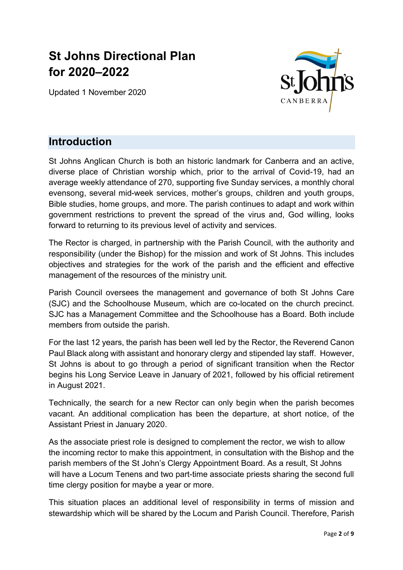# St Johns Directional Plan for 2020–2022

Updated 1 November 2020



# Introduction

St Johns Anglican Church is both an historic landmark for Canberra and an active, diverse place of Christian worship which, prior to the arrival of Covid-19, had an average weekly attendance of 270, supporting five Sunday services, a monthly choral evensong, several mid-week services, mother's groups, children and youth groups, Bible studies, home groups, and more. The parish continues to adapt and work within government restrictions to prevent the spread of the virus and, God willing, looks forward to returning to its previous level of activity and services.

The Rector is charged, in partnership with the Parish Council, with the authority and responsibility (under the Bishop) for the mission and work of St Johns. This includes objectives and strategies for the work of the parish and the efficient and effective management of the resources of the ministry unit.

Parish Council oversees the management and governance of both St Johns Care (SJC) and the Schoolhouse Museum, which are co-located on the church precinct. SJC has a Management Committee and the Schoolhouse has a Board. Both include members from outside the parish.

For the last 12 years, the parish has been well led by the Rector, the Reverend Canon Paul Black along with assistant and honorary clergy and stipended lay staff. However, St Johns is about to go through a period of significant transition when the Rector begins his Long Service Leave in January of 2021, followed by his official retirement in August 2021.

Technically, the search for a new Rector can only begin when the parish becomes vacant. An additional complication has been the departure, at short notice, of the Assistant Priest in January 2020.

As the associate priest role is designed to complement the rector, we wish to allow the incoming rector to make this appointment, in consultation with the Bishop and the parish members of the St John's Clergy Appointment Board. As a result, St Johns will have a Locum Tenens and two part-time associate priests sharing the second full time clergy position for maybe a year or more.

This situation places an additional level of responsibility in terms of mission and stewardship which will be shared by the Locum and Parish Council. Therefore, Parish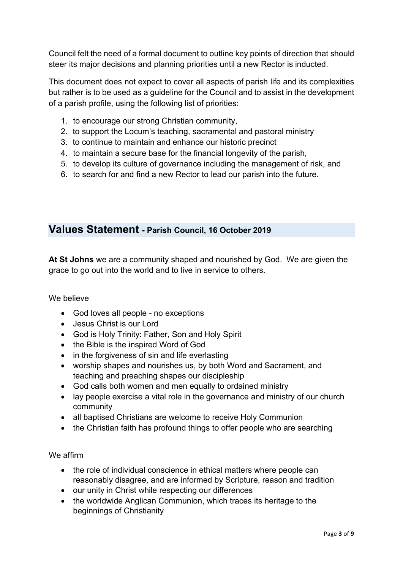Council felt the need of a formal document to outline key points of direction that should steer its major decisions and planning priorities until a new Rector is inducted.

This document does not expect to cover all aspects of parish life and its complexities but rather is to be used as a guideline for the Council and to assist in the development of a parish profile, using the following list of priorities:

- 1. to encourage our strong Christian community,
- 2. to support the Locum's teaching, sacramental and pastoral ministry
- 3. to continue to maintain and enhance our historic precinct
- 4. to maintain a secure base for the financial longevity of the parish,
- 5. to develop its culture of governance including the management of risk, and
- 6. to search for and find a new Rector to lead our parish into the future.

# Values Statement - Parish Council, 16 October 2019

At St Johns we are a community shaped and nourished by God. We are given the grace to go out into the world and to live in service to others.

### We believe

- God loves all people no exceptions
- Jesus Christ is our Lord
- God is Holy Trinity: Father, Son and Holy Spirit
- the Bible is the inspired Word of God
- in the forgiveness of sin and life everlasting
- worship shapes and nourishes us, by both Word and Sacrament, and teaching and preaching shapes our discipleship
- God calls both women and men equally to ordained ministry
- lay people exercise a vital role in the governance and ministry of our church community
- all baptised Christians are welcome to receive Holy Communion
- the Christian faith has profound things to offer people who are searching

### We affirm

- the role of individual conscience in ethical matters where people can reasonably disagree, and are informed by Scripture, reason and tradition
- our unity in Christ while respecting our differences
- the worldwide Anglican Communion, which traces its heritage to the beginnings of Christianity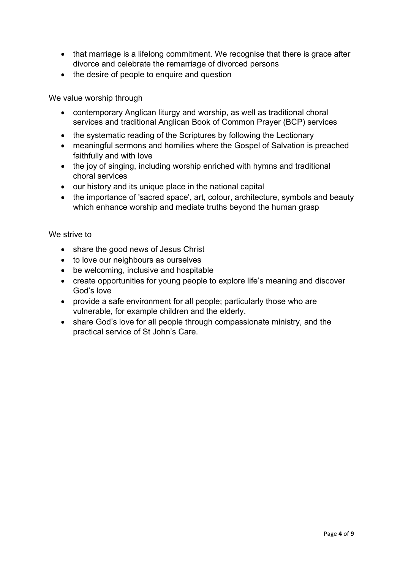- that marriage is a lifelong commitment. We recognise that there is grace after divorce and celebrate the remarriage of divorced persons
- the desire of people to enquire and question

We value worship through

- contemporary Anglican liturgy and worship, as well as traditional choral services and traditional Anglican Book of Common Prayer (BCP) services
- the systematic reading of the Scriptures by following the Lectionary
- meaningful sermons and homilies where the Gospel of Salvation is preached faithfully and with love
- the joy of singing, including worship enriched with hymns and traditional choral services
- our history and its unique place in the national capital
- the importance of 'sacred space', art, colour, architecture, symbols and beauty which enhance worship and mediate truths beyond the human grasp

#### We strive to

- share the good news of Jesus Christ
- to love our neighbours as ourselves
- be welcoming, inclusive and hospitable
- create opportunities for young people to explore life's meaning and discover God's love
- provide a safe environment for all people; particularly those who are vulnerable, for example children and the elderly.
- share God's love for all people through compassionate ministry, and the practical service of St John's Care.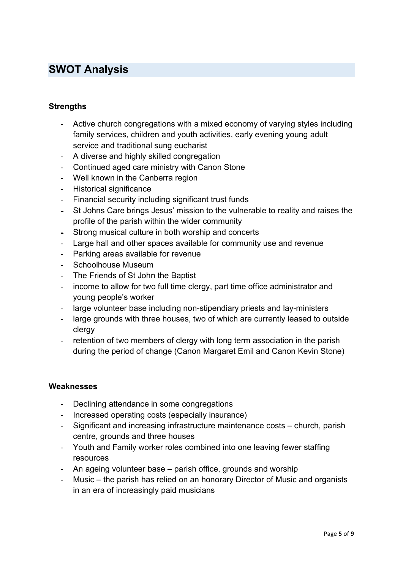# SWOT Analysis

## **Strengths**

- Active church congregations with a mixed economy of varying styles including family services, children and youth activities, early evening young adult service and traditional sung eucharist
- A diverse and highly skilled congregation
- Continued aged care ministry with Canon Stone
- Well known in the Canberra region
- Historical significance
- Financial security including significant trust funds
- St Johns Care brings Jesus' mission to the vulnerable to reality and raises the profile of the parish within the wider community
- Strong musical culture in both worship and concerts
- Large hall and other spaces available for community use and revenue
- Parking areas available for revenue
- Schoolhouse Museum
- The Friends of St John the Baptist
- income to allow for two full time clergy, part time office administrator and young people's worker
- large volunteer base including non-stipendiary priests and lay-ministers
- large grounds with three houses, two of which are currently leased to outside clergy
- retention of two members of clergy with long term association in the parish during the period of change (Canon Margaret Emil and Canon Kevin Stone)

#### **Weaknesses**

- Declining attendance in some congregations
- Increased operating costs (especially insurance)
- Significant and increasing infrastructure maintenance costs church, parish centre, grounds and three houses
- Youth and Family worker roles combined into one leaving fewer staffing resources
- An ageing volunteer base parish office, grounds and worship
- Music the parish has relied on an honorary Director of Music and organists in an era of increasingly paid musicians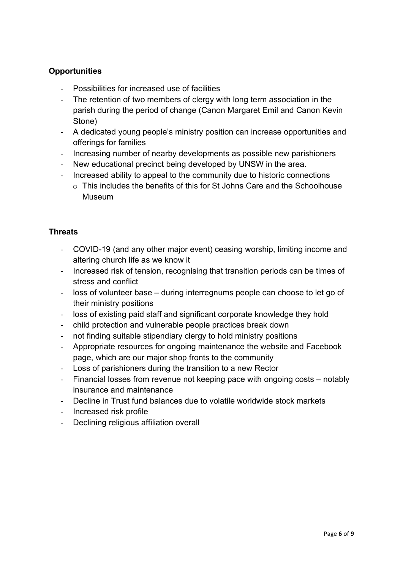# **Opportunities**

- Possibilities for increased use of facilities
- The retention of two members of clergy with long term association in the parish during the period of change (Canon Margaret Emil and Canon Kevin Stone)
- A dedicated young people's ministry position can increase opportunities and offerings for families
- Increasing number of nearby developments as possible new parishioners
- New educational precinct being developed by UNSW in the area.
- Increased ability to appeal to the community due to historic connections
	- $\circ$  This includes the benefits of this for St Johns Care and the Schoolhouse Museum

## **Threats**

- COVID-19 (and any other major event) ceasing worship, limiting income and altering church life as we know it
- Increased risk of tension, recognising that transition periods can be times of stress and conflict
- loss of volunteer base during interregnums people can choose to let go of their ministry positions
- loss of existing paid staff and significant corporate knowledge they hold
- child protection and vulnerable people practices break down
- not finding suitable stipendiary clergy to hold ministry positions
- Appropriate resources for ongoing maintenance the website and Facebook page, which are our major shop fronts to the community
- Loss of parishioners during the transition to a new Rector
- Financial losses from revenue not keeping pace with ongoing costs notably insurance and maintenance
- Decline in Trust fund balances due to volatile worldwide stock markets
- Increased risk profile
- Declining religious affiliation overall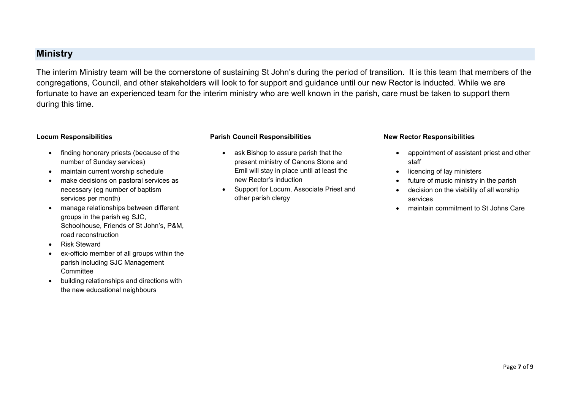# **Ministry**

The interim Ministry team will be the cornerstone of sustaining St John's during the period of transition. It is this team that members of the congregations, Council, and other stakeholders will look to for support and guidance until our new Rector is inducted. While we are fortunate to have an experienced team for the interim ministry who are well known in the parish, care must be taken to support them during this time.

#### Locum Responsibilities

- finding honorary priests (because of the number of Sunday services)
- maintain current worship schedule
- make decisions on pastoral services as necessary (eg number of baptism services per month)
- manage relationships between different groups in the parish eg SJC, Schoolhouse, Friends of St John's, P&M, road reconstruction
- Risk Steward
- ex-officio member of all groups within the parish including SJC Management **Committee**
- building relationships and directions with the new educational neighbours

#### Parish Council Responsibilities

- ask Bishop to assure parish that the present ministry of Canons Stone and Emil will stay in place until at least the new Rector's induction
- Support for Locum, Associate Priest and other parish clergy

#### New Rector Responsibilities

- appointment of assistant priest and other staff
- licencing of lay ministers
- future of music ministry in the parish
- decision on the viability of all worship services
- maintain commitment to St Johns Care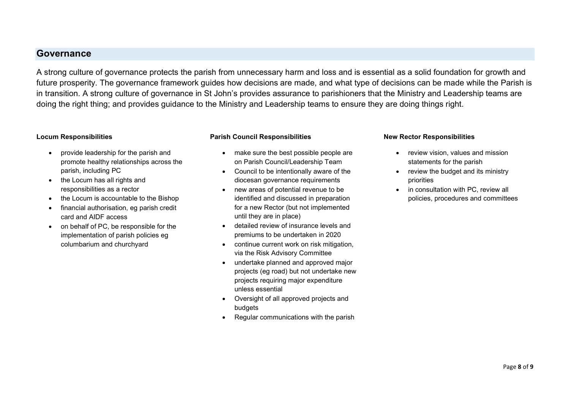# Governance

A strong culture of governance protects the parish from unnecessary harm and loss and is essential as a solid foundation for growth and future prosperity. The governance framework guides how decisions are made, and what type of decisions can be made while the Parish is in transition. A strong culture of governance in St John's provides assurance to parishioners that the Ministry and Leadership teams are doing the right thing; and provides guidance to the Ministry and Leadership teams to ensure they are doing things right.

#### Locum Responsibilities

- provide leadership for the parish and promote healthy relationships across the parish, including PC
- the Locum has all rights and responsibilities as a rector
- the Locum is accountable to the Bishop
- financial authorisation, eg parish credit card and AIDF access
- on behalf of PC, be responsible for the implementation of parish policies eg columbarium and churchyard

#### Parish Council Responsibilities

- make sure the best possible people are on Parish Council/Leadership Team
- Council to be intentionally aware of the diocesan governance requirements
- new areas of potential revenue to be identified and discussed in preparation for a new Rector (but not implemented until they are in place)
- detailed review of insurance levels and premiums to be undertaken in 2020
- continue current work on risk mitigation, via the Risk Advisory Committee
- undertake planned and approved major projects (eg road) but not undertake new projects requiring major expenditure unless essential
- Oversight of all approved projects and budgets
- Regular communications with the parish

#### New Rector Responsibilities

- review vision, values and mission statements for the parish
- review the budget and its ministry priorities
- in consultation with PC, review all policies, procedures and committees